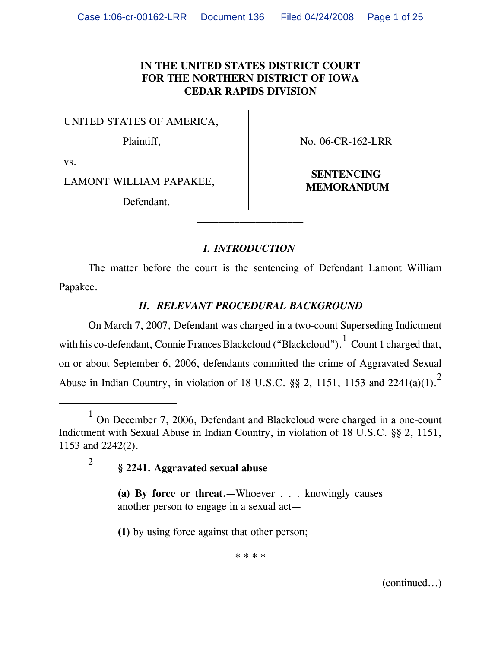## **IN THE UNITED STATES DISTRICT COURT FOR THE NORTHERN DISTRICT OF IOWA CEDAR RAPIDS DIVISION**

UNITED STATES OF AMERICA,

Plaintiff,  $\parallel$  No. 06-CR-162-LRR

vs.

LAMONT WILLIAM PAPAKEE, **NEW PAPAKEE** MEMORANDUM

Defendant.

**SENTENCING**

# *I. INTRODUCTION*

 $\mathcal{L}_\text{max}$ 

The matter before the court is the sentencing of Defendant Lamont William Papakee.

# *II. RELEVANT PROCEDURAL BACKGROUND*

On March 7, 2007, Defendant was charged in a two-count Superseding Indictment with his co-defendant, Connie Frances Blackcloud ("Blackcloud").  $^1$  Count 1 charged that, on or about September 6, 2006, defendants committed the crime of Aggravated Sexual Abuse in Indian Country, in violation of 18 U.S.C. §§ 2, 1151, 1153 and 2241(a)(1).<sup>2</sup>

<sup>2</sup> **§ 2241. Aggravated sexual abuse**

**(a) By force or threat.***—*Whoever . . . knowingly causes another person to engage in a sexual act*—*

**(1)** by using force against that other person;

\* \* \* \*

(continued...)

<sup>&</sup>lt;sup>1</sup> On December 7, 2006, Defendant and Blackcloud were charged in a one-count Indictment with Sexual Abuse in Indian Country, in violation of 18 U.S.C. §§ 2, 1151, 1153 and 2242(2).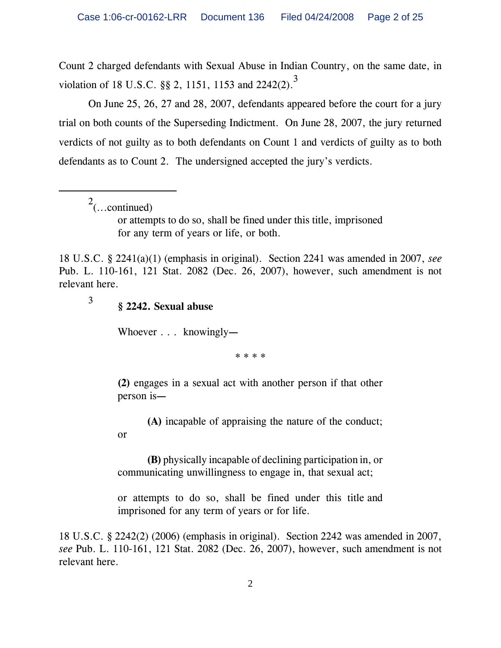Count 2 charged defendants with Sexual Abuse in Indian Country, on the same date, in violation of 18 U.S.C.  $\S$ § 2, 1151, 1153 and 2242(2).<sup>3</sup>

On June 25, 26, 27 and 28, 2007, defendants appeared before the court for a jury trial on both counts of the Superseding Indictment. On June 28, 2007, the jury returned verdicts of not guilty as to both defendants on Count 1 and verdicts of guilty as to both defendants as to Count 2. The undersigned accepted the jury's verdicts.

 $\int_{0}^{2}$ (...continued)

or

or attempts to do so, shall be fined under this title, imprisoned for any term of years or life, or both.

18 U.S.C. § 2241(a)(1) (emphasis in original). Section 2241 was amended in 2007, *see* Pub. L. 110-161, 121 Stat. 2082 (Dec. 26, 2007), however, such amendment is not relevant here.

<sup>3</sup> **§ 2242. Sexual abuse**

Whoever . . . knowingly*—*

\* \* \* \*

**(2)** engages in a sexual act with another person if that other person is*—*

**(A)** incapable of appraising the nature of the conduct;

**(B)** physically incapable of declining participation in, or communicating unwillingness to engage in, that sexual act;

 or attempts to do so, shall be fined under this title and imprisoned for any term of years or for life.

18 U.S.C. § 2242(2) (2006) (emphasis in original). Section 2242 was amended in 2007, *see* Pub. L. 110-161, 121 Stat. 2082 (Dec. 26, 2007), however, such amendment is not relevant here.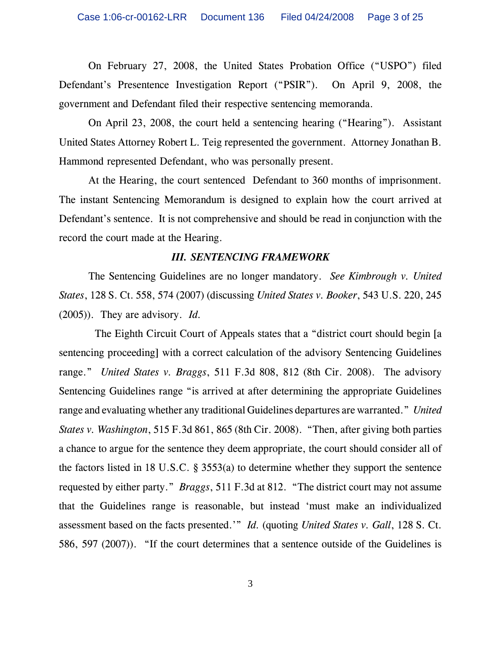On February 27, 2008, the United States Probation Office ("USPO") filed Defendant's Presentence Investigation Report ("PSIR"). On April 9, 2008, the government and Defendant filed their respective sentencing memoranda.

On April 23, 2008, the court held a sentencing hearing ("Hearing"). Assistant United States Attorney Robert L. Teig represented the government. Attorney Jonathan B. Hammond represented Defendant, who was personally present.

At the Hearing, the court sentenced Defendant to 360 months of imprisonment. The instant Sentencing Memorandum is designed to explain how the court arrived at Defendant's sentence. It is not comprehensive and should be read in conjunction with the record the court made at the Hearing.

#### *III. SENTENCING FRAMEWORK*

The Sentencing Guidelines are no longer mandatory. *See Kimbrough v. United States*, 128 S. Ct. 558, 574 (2007) (discussing *United States v. Booker*, 543 U.S. 220, 245 (2005)). They are advisory. *Id.*

The Eighth Circuit Court of Appeals states that a "district court should begin [a] sentencing proceeding] with a correct calculation of the advisory Sentencing Guidelines range." *United States v. Braggs*, 511 F.3d 808, 812 (8th Cir. 2008). The advisory Sentencing Guidelines range "is arrived at after determining the appropriate Guidelines range and evaluating whether any traditional Guidelines departures are warranted." *United States v. Washington*, 515 F.3d 861, 865 (8th Cir. 2008). "Then, after giving both parties a chance to argue for the sentence they deem appropriate, the court should consider all of the factors listed in 18 U.S.C. § 3553(a) to determine whether they support the sentence requested by either party." *Braggs*, 511 F.3d at 812. "The district court may not assume that the Guidelines range is reasonable, but instead 'must make an individualized assessment based on the facts presented.'" *Id.* (quoting *United States v. Gall*, 128 S. Ct. 586, 597 (2007)). "If the court determines that a sentence outside of the Guidelines is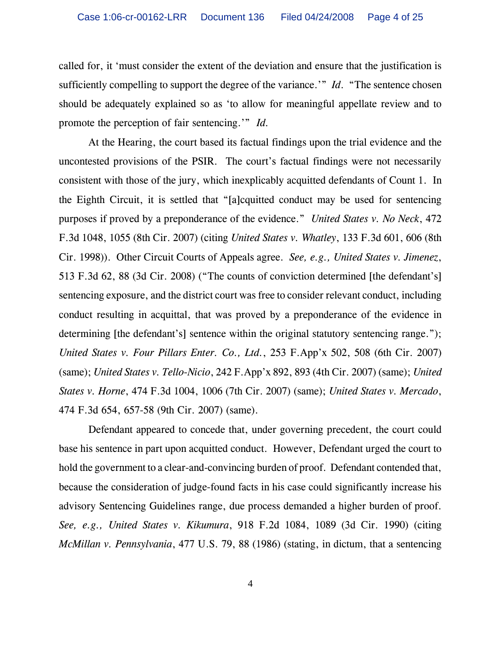called for, it 'must consider the extent of the deviation and ensure that the justification is sufficiently compelling to support the degree of the variance.'" *Id*. "The sentence chosen should be adequately explained so as 'to allow for meaningful appellate review and to promote the perception of fair sentencing.'" *Id.*

At the Hearing, the court based its factual findings upon the trial evidence and the uncontested provisions of the PSIR. The court's factual findings were not necessarily consistent with those of the jury, which inexplicably acquitted defendants of Count 1. In the Eighth Circuit, it is settled that "[a]cquitted conduct may be used for sentencing purposes if proved by a preponderance of the evidence." *United States v. No Neck*, 472 F.3d 1048, 1055 (8th Cir. 2007) (citing *United States v. Whatley*, 133 F.3d 601, 606 (8th Cir. 1998)). Other Circuit Courts of Appeals agree. *See, e.g., United States v. Jimenez*, 513 F.3d 62, 88 (3d Cir. 2008) ("The counts of conviction determined [the defendant's] sentencing exposure, and the district court was free to consider relevant conduct, including conduct resulting in acquittal, that was proved by a preponderance of the evidence in determining [the defendant's] sentence within the original statutory sentencing range."); *United States v. Four Pillars Enter. Co., Ltd.*, 253 F.App'x 502, 508 (6th Cir. 2007) (same); *United States v. Tello-Nicio*, 242 F.App'x 892, 893 (4th Cir. 2007) (same); *United States v. Horne*, 474 F.3d 1004, 1006 (7th Cir. 2007) (same); *United States v. Mercado*, 474 F.3d 654, 657-58 (9th Cir. 2007) (same).

Defendant appeared to concede that, under governing precedent, the court could base his sentence in part upon acquitted conduct. However, Defendant urged the court to hold the government to a clear-and-convincing burden of proof. Defendant contended that, because the consideration of judge-found facts in his case could significantly increase his advisory Sentencing Guidelines range, due process demanded a higher burden of proof. *See, e.g., United States v. Kikumura*, 918 F.2d 1084, 1089 (3d Cir. 1990) (citing *McMillan v. Pennsylvania*, 477 U.S. 79, 88 (1986) (stating, in dictum, that a sentencing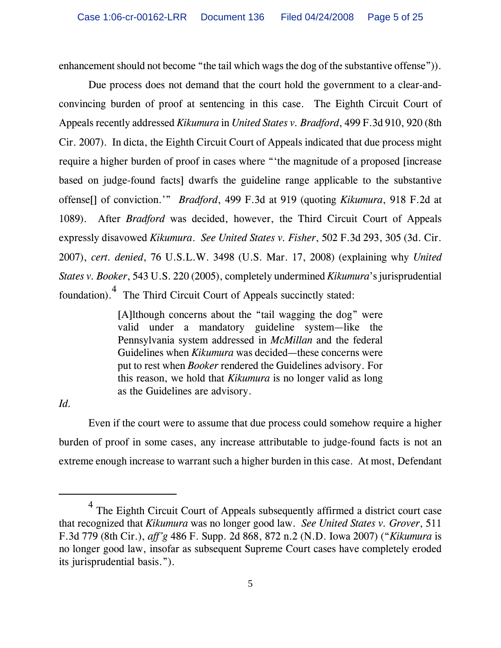enhancement should not become "the tail which wags the dog of the substantive offense")).

Due process does not demand that the court hold the government to a clear-andconvincing burden of proof at sentencing in this case. The Eighth Circuit Court of Appeals recently addressed *Kikumura* in *United States v. Bradford*, 499 F.3d 910, 920 (8th Cir. 2007). In dicta, the Eighth Circuit Court of Appeals indicated that due process might require a higher burden of proof in cases where "'the magnitude of a proposed [increase based on judge-found facts] dwarfs the guideline range applicable to the substantive offense[] of conviction.'" *Bradford*, 499 F.3d at 919 (quoting *Kikumura*, 918 F.2d at 1089). After *Bradford* was decided, however, the Third Circuit Court of Appeals expressly disavowed *Kikumura*. *See United States v. Fisher*, 502 F.3d 293, 305 (3d. Cir. 2007), *cert. denied*, 76 U.S.L.W. 3498 (U.S. Mar. 17, 2008) (explaining why *United States v. Booker*, 543 U.S. 220 (2005), completely undermined *Kikumura*'s jurisprudential foundation). <sup>4</sup> The Third Circuit Court of Appeals succinctly stated:

> [A]lthough concerns about the "tail wagging the dog" were valid under a mandatory guideline system—like the Pennsylvania system addressed in *McMillan* and the federal Guidelines when *Kikumura* was decided—these concerns were put to rest when *Booker* rendered the Guidelines advisory. For this reason, we hold that *Kikumura* is no longer valid as long as the Guidelines are advisory.

*Id.*

Even if the court were to assume that due process could somehow require a higher burden of proof in some cases, any increase attributable to judge-found facts is not an extreme enough increase to warrant such a higher burden in this case. At most, Defendant

 $4$  The Eighth Circuit Court of Appeals subsequently affirmed a district court case that recognized that *Kikumura* was no longer good law. *See United States v. Grover*, 511 F.3d 779 (8th Cir.), *aff'g* 486 F. Supp. 2d 868, 872 n.2 (N.D. Iowa 2007) ("*Kikumura* is no longer good law, insofar as subsequent Supreme Court cases have completely eroded its jurisprudential basis.").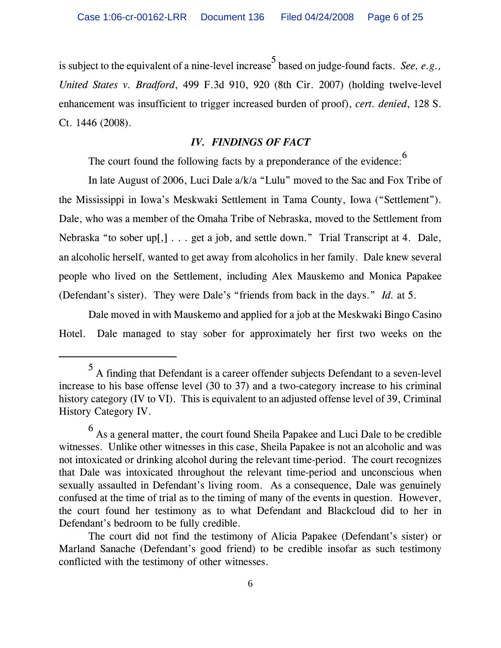is subject to the equivalent of a nine-level increase<sup>5</sup> based on judge-found facts. *See, e.g.*, *United States v. Bradford*, 499 F.3d 910, 920 (8th Cir. 2007) (holding twelve-level enhancement was insufficient to trigger increased burden of proof), *cert. denied*, 128 S. Ct. 1446 (2008).

### *IV. FINDINGS OF FACT*

The court found the following facts by a preponderance of the evidence:<sup>6</sup>

In late August of 2006, Luci Dale a/k/a "Lulu" moved to the Sac and Fox Tribe of the Mississippi in Iowa's Meskwaki Settlement in Tama County, Iowa ("Settlement"). Dale, who was a member of the Omaha Tribe of Nebraska, moved to the Settlement from Nebraska "to sober up[,] . . . get a job, and settle down." Trial Transcript at 4. Dale, an alcoholic herself, wanted to get away from alcoholics in her family. Dale knew several people who lived on the Settlement, including Alex Mauskemo and Monica Papakee (Defendant's sister). They were Dale's "friends from back in the days." *Id.* at 5.

Dale moved in with Mauskemo and applied for a job at the Meskwaki Bingo Casino Hotel. Dale managed to stay sober for approximately her first two weeks on the

<sup>5</sup> A finding that Defendant is a career offender subjects Defendant to a seven-level increase to his base offense level (30 to 37) and a two-category increase to his criminal history category (IV to VI). This is equivalent to an adjusted offense level of 39, Criminal History Category IV.

 $^6$  As a general matter, the court found Sheila Papakee and Luci Dale to be credible witnesses. Unlike other witnesses in this case, Sheila Papakee is not an alcoholic and was not intoxicated or drinking alcohol during the relevant time-period. The court recognizes that Dale was intoxicated throughout the relevant time-period and unconscious when sexually assaulted in Defendant's living room. As a consequence, Dale was genuinely confused at the time of trial as to the timing of many of the events in question. However, the court found her testimony as to what Defendant and Blackcloud did to her in Defendant's bedroom to be fully credible.

The court did not find the testimony of Alicia Papakee (Defendant's sister) or Marland Sanache (Defendant's good friend) to be credible insofar as such testimony conflicted with the testimony of other witnesses.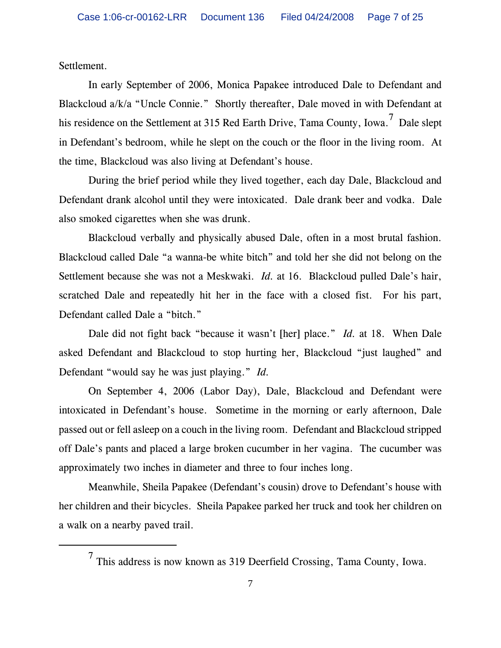Settlement.

In early September of 2006, Monica Papakee introduced Dale to Defendant and Blackcloud a/k/a "Uncle Connie." Shortly thereafter, Dale moved in with Defendant at his residence on the Settlement at 315 Red Earth Drive, Tama County, Iowa.<sup>7</sup> Dale slept in Defendant's bedroom, while he slept on the couch or the floor in the living room. At the time, Blackcloud was also living at Defendant's house.

During the brief period while they lived together, each day Dale, Blackcloud and Defendant drank alcohol until they were intoxicated. Dale drank beer and vodka. Dale also smoked cigarettes when she was drunk.

Blackcloud verbally and physically abused Dale, often in a most brutal fashion. Blackcloud called Dale "a wanna-be white bitch" and told her she did not belong on the Settlement because she was not a Meskwaki. *Id.* at 16. Blackcloud pulled Dale's hair, scratched Dale and repeatedly hit her in the face with a closed fist. For his part, Defendant called Dale a "bitch."

Dale did not fight back "because it wasn't [her] place." *Id.* at 18. When Dale asked Defendant and Blackcloud to stop hurting her, Blackcloud "just laughed" and Defendant "would say he was just playing." *Id.*

On September 4, 2006 (Labor Day), Dale, Blackcloud and Defendant were intoxicated in Defendant's house. Sometime in the morning or early afternoon, Dale passed out or fell asleep on a couch in the living room. Defendant and Blackcloud stripped off Dale's pants and placed a large broken cucumber in her vagina. The cucumber was approximately two inches in diameter and three to four inches long.

Meanwhile, Sheila Papakee (Defendant's cousin) drove to Defendant's house with her children and their bicycles. Sheila Papakee parked her truck and took her children on a walk on a nearby paved trail.

 $^7$  This address is now known as 319 Deerfield Crossing, Tama County, Iowa.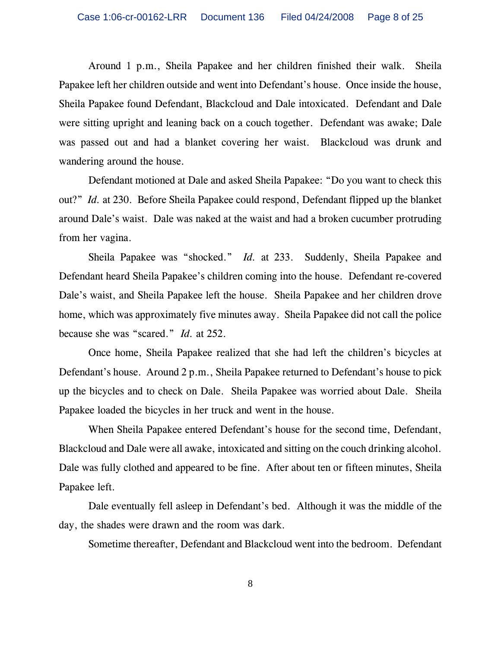Around 1 p.m., Sheila Papakee and her children finished their walk. Sheila Papakee left her children outside and went into Defendant's house. Once inside the house, Sheila Papakee found Defendant, Blackcloud and Dale intoxicated. Defendant and Dale were sitting upright and leaning back on a couch together. Defendant was awake; Dale was passed out and had a blanket covering her waist. Blackcloud was drunk and wandering around the house.

Defendant motioned at Dale and asked Sheila Papakee: "Do you want to check this out?" *Id.* at 230. Before Sheila Papakee could respond, Defendant flipped up the blanket around Dale's waist. Dale was naked at the waist and had a broken cucumber protruding from her vagina.

Sheila Papakee was "shocked." *Id.* at 233. Suddenly, Sheila Papakee and Defendant heard Sheila Papakee's children coming into the house. Defendant re-covered Dale's waist, and Sheila Papakee left the house. Sheila Papakee and her children drove home, which was approximately five minutes away. Sheila Papakee did not call the police because she was "scared." *Id.* at 252.

Once home, Sheila Papakee realized that she had left the children's bicycles at Defendant's house. Around 2 p.m., Sheila Papakee returned to Defendant's house to pick up the bicycles and to check on Dale. Sheila Papakee was worried about Dale. Sheila Papakee loaded the bicycles in her truck and went in the house.

When Sheila Papakee entered Defendant's house for the second time, Defendant, Blackcloud and Dale were all awake, intoxicated and sitting on the couch drinking alcohol. Dale was fully clothed and appeared to be fine. After about ten or fifteen minutes, Sheila Papakee left.

Dale eventually fell asleep in Defendant's bed. Although it was the middle of the day, the shades were drawn and the room was dark.

Sometime thereafter, Defendant and Blackcloud went into the bedroom. Defendant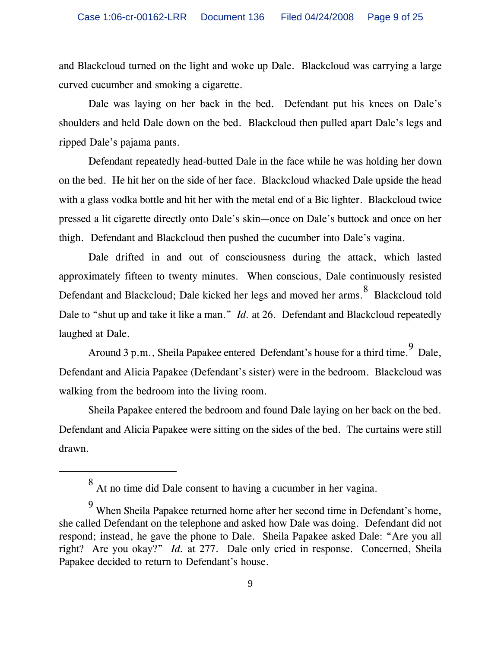and Blackcloud turned on the light and woke up Dale. Blackcloud was carrying a large curved cucumber and smoking a cigarette.

Dale was laying on her back in the bed. Defendant put his knees on Dale's shoulders and held Dale down on the bed. Blackcloud then pulled apart Dale's legs and ripped Dale's pajama pants.

Defendant repeatedly head-butted Dale in the face while he was holding her down on the bed. He hit her on the side of her face. Blackcloud whacked Dale upside the head with a glass vodka bottle and hit her with the metal end of a Bic lighter. Blackcloud twice pressed a lit cigarette directly onto Dale's skin—once on Dale's buttock and once on her thigh. Defendant and Blackcloud then pushed the cucumber into Dale's vagina.

Dale drifted in and out of consciousness during the attack, which lasted approximately fifteen to twenty minutes. When conscious, Dale continuously resisted Defendant and Blackcloud; Dale kicked her legs and moved her arms. <sup>8</sup> Blackcloud told Dale to "shut up and take it like a man." *Id.* at 26. Defendant and Blackcloud repeatedly laughed at Dale.

Around 3 p.m., Sheila Papakee entered Defendant's house for a third time.  $\begin{bmatrix} 9 & 0 \\ 9 & 10 \end{bmatrix}$ Defendant and Alicia Papakee (Defendant's sister) were in the bedroom. Blackcloud was walking from the bedroom into the living room.

Sheila Papakee entered the bedroom and found Dale laying on her back on the bed. Defendant and Alicia Papakee were sitting on the sides of the bed. The curtains were still drawn.

<sup>8</sup> At no time did Dale consent to having a cucumber in her vagina.

 $9$  When Sheila Papakee returned home after her second time in Defendant's home, she called Defendant on the telephone and asked how Dale was doing. Defendant did not respond; instead, he gave the phone to Dale. Sheila Papakee asked Dale: "Are you all right? Are you okay?" *Id.* at 277. Dale only cried in response. Concerned, Sheila Papakee decided to return to Defendant's house.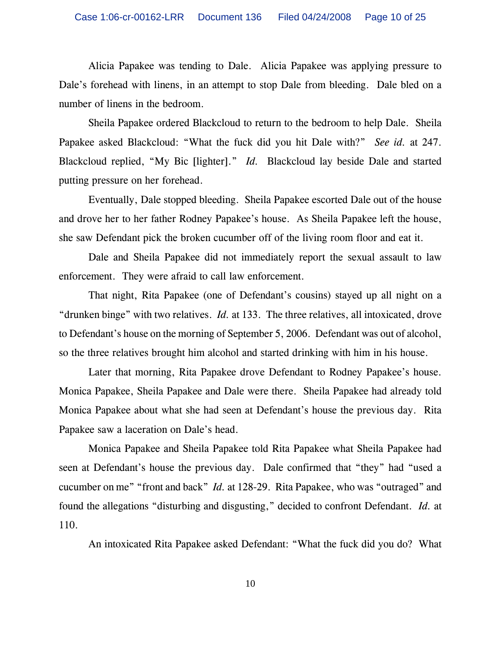Alicia Papakee was tending to Dale. Alicia Papakee was applying pressure to Dale's forehead with linens, in an attempt to stop Dale from bleeding. Dale bled on a number of linens in the bedroom.

Sheila Papakee ordered Blackcloud to return to the bedroom to help Dale. Sheila Papakee asked Blackcloud: "What the fuck did you hit Dale with?" *See id.* at 247. Blackcloud replied, "My Bic [lighter]." *Id.* Blackcloud lay beside Dale and started putting pressure on her forehead.

Eventually, Dale stopped bleeding. Sheila Papakee escorted Dale out of the house and drove her to her father Rodney Papakee's house. As Sheila Papakee left the house, she saw Defendant pick the broken cucumber off of the living room floor and eat it.

Dale and Sheila Papakee did not immediately report the sexual assault to law enforcement. They were afraid to call law enforcement.

That night, Rita Papakee (one of Defendant's cousins) stayed up all night on a "drunken binge" with two relatives. *Id.* at 133. The three relatives, all intoxicated, drove to Defendant's house on the morning of September 5, 2006. Defendant was out of alcohol, so the three relatives brought him alcohol and started drinking with him in his house.

Later that morning, Rita Papakee drove Defendant to Rodney Papakee's house. Monica Papakee, Sheila Papakee and Dale were there. Sheila Papakee had already told Monica Papakee about what she had seen at Defendant's house the previous day. Rita Papakee saw a laceration on Dale's head.

Monica Papakee and Sheila Papakee told Rita Papakee what Sheila Papakee had seen at Defendant's house the previous day. Dale confirmed that "they" had "used a cucumber on me" "front and back" *Id.* at 128-29. Rita Papakee, who was "outraged" and found the allegations "disturbing and disgusting," decided to confront Defendant. *Id.* at 110.

An intoxicated Rita Papakee asked Defendant: "What the fuck did you do? What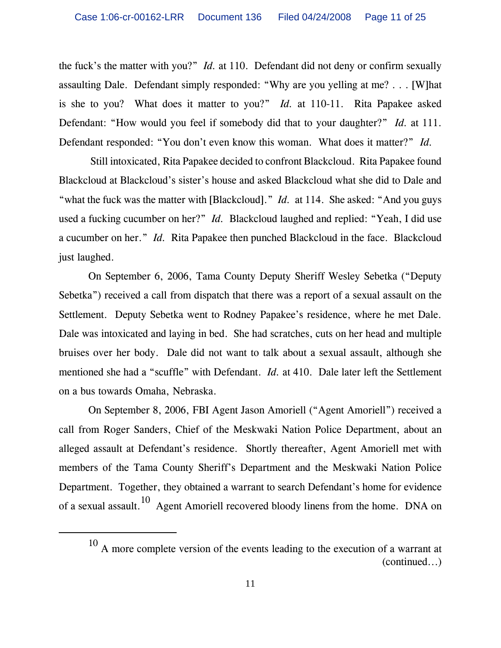the fuck's the matter with you?" *Id.* at 110. Defendant did not deny or confirm sexually assaulting Dale. Defendant simply responded: "Why are you yelling at me? . . . [W]hat is she to you? What does it matter to you?" *Id.* at 110-11. Rita Papakee asked Defendant: "How would you feel if somebody did that to your daughter?" *Id.* at 111. Defendant responded: "You don't even know this woman. What does it matter?" *Id.*

 Still intoxicated, Rita Papakee decided to confront Blackcloud. Rita Papakee found Blackcloud at Blackcloud's sister's house and asked Blackcloud what she did to Dale and "what the fuck was the matter with [Blackcloud]." *Id.* at 114. She asked: "And you guys used a fucking cucumber on her?" *Id.* Blackcloud laughed and replied: "Yeah, I did use a cucumber on her." *Id.* Rita Papakee then punched Blackcloud in the face. Blackcloud just laughed.

On September 6, 2006, Tama County Deputy Sheriff Wesley Sebetka ("Deputy Sebetka") received a call from dispatch that there was a report of a sexual assault on the Settlement. Deputy Sebetka went to Rodney Papakee's residence, where he met Dale. Dale was intoxicated and laying in bed. She had scratches, cuts on her head and multiple bruises over her body. Dale did not want to talk about a sexual assault, although she mentioned she had a "scuffle" with Defendant. *Id.* at 410. Dale later left the Settlement on a bus towards Omaha, Nebraska.

On September 8, 2006, FBI Agent Jason Amoriell ("Agent Amoriell") received a call from Roger Sanders, Chief of the Meskwaki Nation Police Department, about an alleged assault at Defendant's residence. Shortly thereafter, Agent Amoriell met with members of the Tama County Sheriff's Department and the Meskwaki Nation Police Department. Together, they obtained a warrant to search Defendant's home for evidence of a sexual assault.<sup>10</sup> Agent Amoriell recovered bloody linens from the home. DNA on

 $10$  A more complete version of the events leading to the execution of a warrant at (continued...)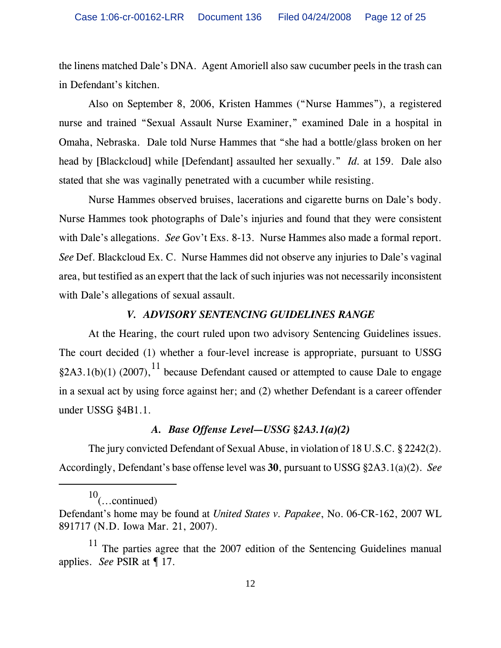the linens matched Dale's DNA. Agent Amoriell also saw cucumber peels in the trash can in Defendant's kitchen.

Also on September 8, 2006, Kristen Hammes ("Nurse Hammes"), a registered nurse and trained "Sexual Assault Nurse Examiner," examined Dale in a hospital in Omaha, Nebraska. Dale told Nurse Hammes that "she had a bottle/glass broken on her head by [Blackcloud] while [Defendant] assaulted her sexually." *Id.* at 159. Dale also stated that she was vaginally penetrated with a cucumber while resisting.

Nurse Hammes observed bruises, lacerations and cigarette burns on Dale's body. Nurse Hammes took photographs of Dale's injuries and found that they were consistent with Dale's allegations. *See* Gov't Exs. 8-13. Nurse Hammes also made a formal report. *See* Def. Blackcloud Ex. C. Nurse Hammes did not observe any injuries to Dale's vaginal area, but testified as an expert that the lack of such injuries was not necessarily inconsistent with Dale's allegations of sexual assault.

#### *V. ADVISORY SENTENCING GUIDELINES RANGE*

At the Hearing, the court ruled upon two advisory Sentencing Guidelines issues. The court decided (1) whether a four-level increase is appropriate, pursuant to USSG §2A3.1(b)(1) (2007),<sup>11</sup> because Defendant caused or attempted to cause Dale to engage in a sexual act by using force against her; and (2) whether Defendant is a career offender under USSG §4B1.1.

### *A. Base Offense Level—USSG §2A3.1(a)(2)*

The jury convicted Defendant of Sexual Abuse, in violation of 18 U.S.C. § 2242(2). Accordingly, Defendant's base offense level was **30**, pursuant to USSG §2A3.1(a)(2). *See*

 $10$ (...continued)

Defendant's home may be found at *United States v. Papakee*, No. 06-CR-162, 2007 WL 891717 (N.D. Iowa Mar. 21, 2007).

The parties agree that the 2007 edition of the Sentencing Guidelines manual applies. *See* PSIR at ¶ 17.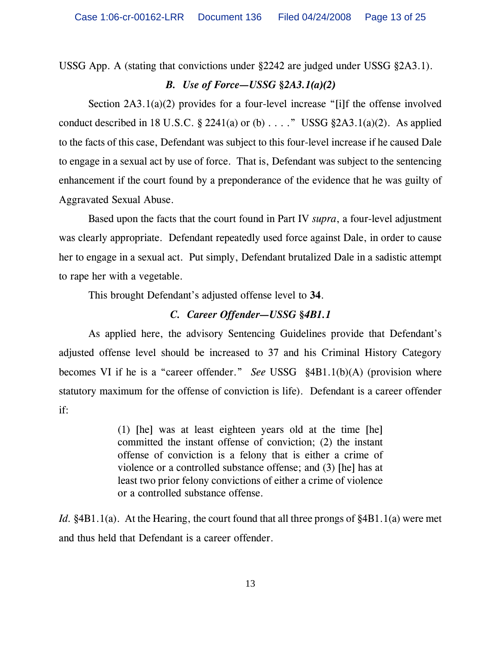USSG App. A (stating that convictions under §2242 are judged under USSG §2A3.1).

## *B. Use of Force—USSG §2A3.1(a)(2)*

Section 2A3.1(a)(2) provides for a four-level increase "[i]f the offense involved conduct described in 18 U.S.C.  $\S$  2241(a) or (b) . . . ." USSG  $\S$ 2A3.1(a)(2). As applied to the facts of this case, Defendant was subject to this four-level increase if he caused Dale to engage in a sexual act by use of force. That is, Defendant was subject to the sentencing enhancement if the court found by a preponderance of the evidence that he was guilty of Aggravated Sexual Abuse.

Based upon the facts that the court found in Part IV *supra*, a four-level adjustment was clearly appropriate. Defendant repeatedly used force against Dale, in order to cause her to engage in a sexual act. Put simply, Defendant brutalized Dale in a sadistic attempt to rape her with a vegetable.

This brought Defendant's adjusted offense level to **34**.

## *C. Career Offender—USSG §4B1.1*

As applied here, the advisory Sentencing Guidelines provide that Defendant's adjusted offense level should be increased to 37 and his Criminal History Category becomes VI if he is a "career offender." *See* USSG §4B1.1(b)(A) (provision where statutory maximum for the offense of conviction is life). Defendant is a career offender if:

> (1) [he] was at least eighteen years old at the time [he] committed the instant offense of conviction; (2) the instant offense of conviction is a felony that is either a crime of violence or a controlled substance offense; and (3) [he] has at least two prior felony convictions of either a crime of violence or a controlled substance offense.

*Id.* §4B1.1(a). At the Hearing, the court found that all three prongs of §4B1.1(a) were met and thus held that Defendant is a career offender.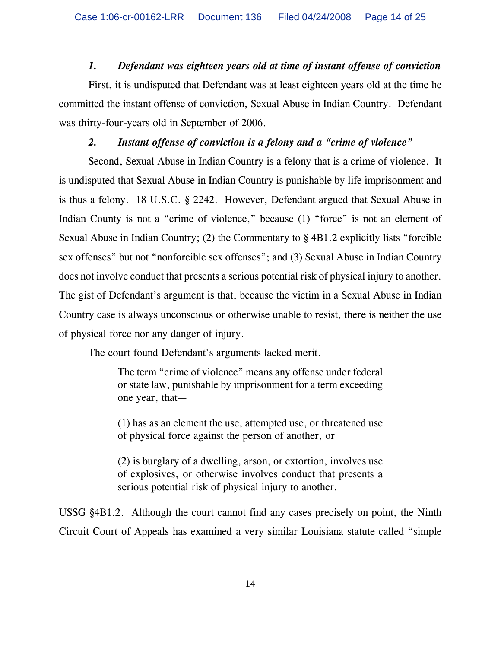# *1. Defendant was eighteen years old at time of instant offense of conviction*

First, it is undisputed that Defendant was at least eighteen years old at the time he committed the instant offense of conviction, Sexual Abuse in Indian Country. Defendant was thirty-four-years old in September of 2006.

# *2. Instant offense of conviction is a felony and a "crime of violence"*

Second, Sexual Abuse in Indian Country is a felony that is a crime of violence. It is undisputed that Sexual Abuse in Indian Country is punishable by life imprisonment and is thus a felony. 18 U.S.C. § 2242. However, Defendant argued that Sexual Abuse in Indian County is not a "crime of violence," because (1) "force" is not an element of Sexual Abuse in Indian Country; (2) the Commentary to § 4B1.2 explicitly lists "forcible sex offenses" but not "nonforcible sex offenses"; and (3) Sexual Abuse in Indian Country does not involve conduct that presents a serious potential risk of physical injury to another. The gist of Defendant's argument is that, because the victim in a Sexual Abuse in Indian Country case is always unconscious or otherwise unable to resist, there is neither the use of physical force nor any danger of injury.

The court found Defendant's arguments lacked merit.

The term "crime of violence" means any offense under federal or state law, punishable by imprisonment for a term exceeding one year, that—

(1) has as an element the use, attempted use, or threatened use of physical force against the person of another, or

(2) is burglary of a dwelling, arson, or extortion, involves use of explosives, or otherwise involves conduct that presents a serious potential risk of physical injury to another.

USSG §4B1.2. Although the court cannot find any cases precisely on point, the Ninth Circuit Court of Appeals has examined a very similar Louisiana statute called "simple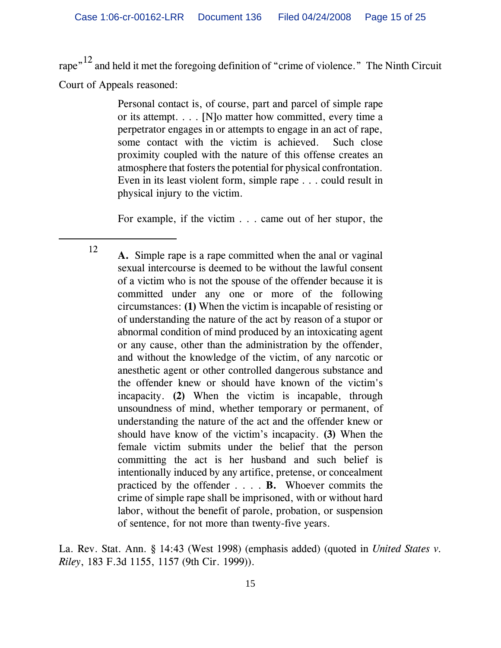rape"<sup>12</sup> and held it met the foregoing definition of "crime of violence." The Ninth Circuit Court of Appeals reasoned:

> Personal contact is, of course, part and parcel of simple rape or its attempt. . . . [N]o matter how committed, every time a perpetrator engages in or attempts to engage in an act of rape, some contact with the victim is achieved. Such close proximity coupled with the nature of this offense creates an atmosphere that fosters the potential for physical confrontation. Even in its least violent form, simple rape . . . could result in physical injury to the victim.

> For example, if the victim . . . came out of her stupor, the

<sup>12</sup> **A.** Simple rape is a rape committed when the anal or vaginal sexual intercourse is deemed to be without the lawful consent of a victim who is not the spouse of the offender because it is committed under any one or more of the following circumstances: **(1)** When the victim is incapable of resisting or of understanding the nature of the act by reason of a stupor or abnormal condition of mind produced by an intoxicating agent or any cause, other than the administration by the offender, and without the knowledge of the victim, of any narcotic or anesthetic agent or other controlled dangerous substance and the offender knew or should have known of the victim's incapacity. **(2)** When the victim is incapable, through unsoundness of mind, whether temporary or permanent, of understanding the nature of the act and the offender knew or should have know of the victim's incapacity. **(3)** When the female victim submits under the belief that the person committing the act is her husband and such belief is intentionally induced by any artifice, pretense, or concealment practiced by the offender . . . . **B.** Whoever commits the crime of simple rape shall be imprisoned, with or without hard labor, without the benefit of parole, probation, or suspension of sentence, for not more than twenty-five years.

La. Rev. Stat. Ann. § 14:43 (West 1998) (emphasis added) (quoted in *United States v. Riley*, 183 F.3d 1155, 1157 (9th Cir. 1999)).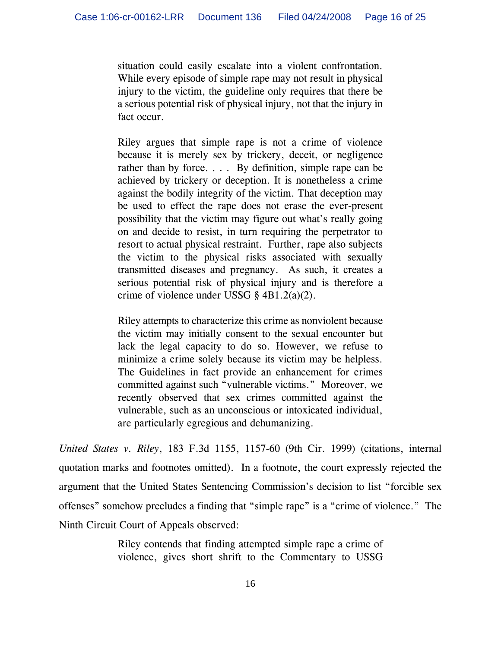situation could easily escalate into a violent confrontation. While every episode of simple rape may not result in physical injury to the victim, the guideline only requires that there be a serious potential risk of physical injury, not that the injury in fact occur.

Riley argues that simple rape is not a crime of violence because it is merely sex by trickery, deceit, or negligence rather than by force. . . . By definition, simple rape can be achieved by trickery or deception. It is nonetheless a crime against the bodily integrity of the victim. That deception may be used to effect the rape does not erase the ever-present possibility that the victim may figure out what's really going on and decide to resist, in turn requiring the perpetrator to resort to actual physical restraint. Further, rape also subjects the victim to the physical risks associated with sexually transmitted diseases and pregnancy. As such, it creates a serious potential risk of physical injury and is therefore a crime of violence under USSG § 4B1.2(a)(2).

Riley attempts to characterize this crime as nonviolent because the victim may initially consent to the sexual encounter but lack the legal capacity to do so. However, we refuse to minimize a crime solely because its victim may be helpless. The Guidelines in fact provide an enhancement for crimes committed against such "vulnerable victims." Moreover, we recently observed that sex crimes committed against the vulnerable, such as an unconscious or intoxicated individual, are particularly egregious and dehumanizing.

*United States v. Riley*, 183 F.3d 1155, 1157-60 (9th Cir. 1999) (citations, internal quotation marks and footnotes omitted). In a footnote, the court expressly rejected the argument that the United States Sentencing Commission's decision to list "forcible sex offenses" somehow precludes a finding that "simple rape" is a "crime of violence." The Ninth Circuit Court of Appeals observed:

> Riley contends that finding attempted simple rape a crime of violence, gives short shrift to the Commentary to USSG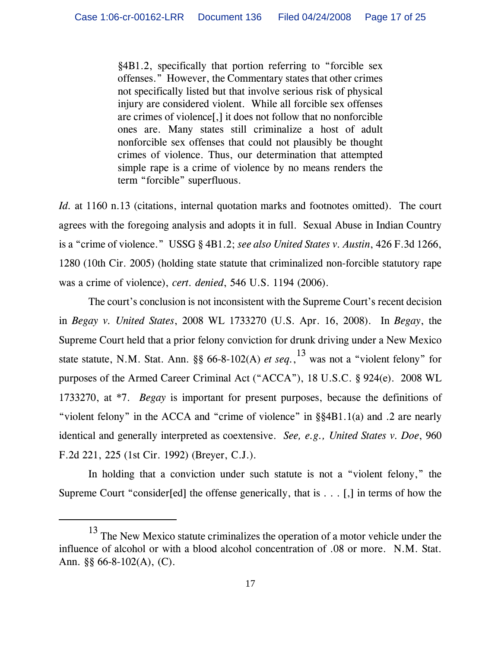§4B1.2, specifically that portion referring to "forcible sex offenses." However, the Commentary states that other crimes not specifically listed but that involve serious risk of physical injury are considered violent. While all forcible sex offenses are crimes of violence[,] it does not follow that no nonforcible ones are. Many states still criminalize a host of adult nonforcible sex offenses that could not plausibly be thought crimes of violence. Thus, our determination that attempted simple rape is a crime of violence by no means renders the term "forcible" superfluous.

*Id.* at 1160 n.13 (citations, internal quotation marks and footnotes omitted). The court agrees with the foregoing analysis and adopts it in full. Sexual Abuse in Indian Country is a "crime of violence." USSG § 4B1.2; *see also United States v. Austin*, 426 F.3d 1266, 1280 (10th Cir. 2005) (holding state statute that criminalized non-forcible statutory rape was a crime of violence), *cert. denied*, 546 U.S. 1194 (2006).

The court's conclusion is not inconsistent with the Supreme Court's recent decision in *Begay v. United States*, 2008 WL 1733270 (U.S. Apr. 16, 2008). In *Begay*, the Supreme Court held that a prior felony conviction for drunk driving under a New Mexico state statute, N.M. Stat. Ann. §§ 66-8-102(A) *et seq.*, 13 was not a "violent felony" for purposes of the Armed Career Criminal Act ("ACCA"), 18 U.S.C. § 924(e). 2008 WL 1733270, at \*7. *Begay* is important for present purposes, because the definitions of "violent felony" in the ACCA and "crime of violence" in §§4B1.1(a) and .2 are nearly identical and generally interpreted as coextensive. *See, e.g., United States v. Doe*, 960 F.2d 221, 225 (1st Cir. 1992) (Breyer, C.J.).

In holding that a conviction under such statute is not a "violent felony," the Supreme Court "consider[ed] the offense generically, that is . . . [,] in terms of how the

<sup>&</sup>lt;sup>13</sup> The New Mexico statute criminalizes the operation of a motor vehicle under the influence of alcohol or with a blood alcohol concentration of .08 or more. N.M. Stat. Ann. §§ 66-8-102(A), (C).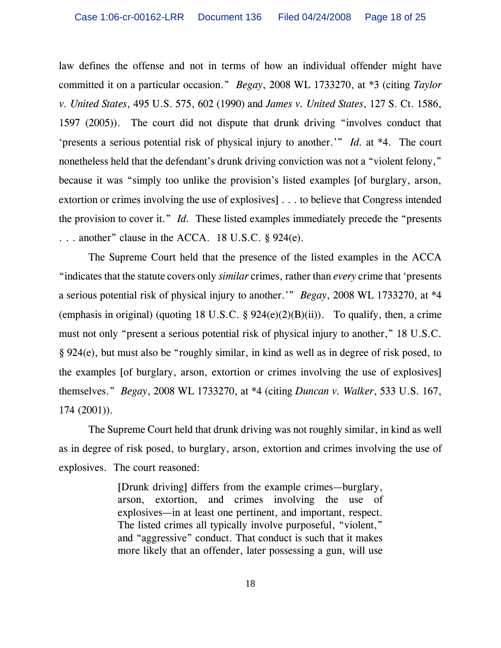law defines the offense and not in terms of how an individual offender might have committed it on a particular occasion." *Begay*, 2008 WL 1733270, at \*3 (citing *Taylor v. United States*, 495 U.S. 575, 602 (1990) and *James v. United States*, 127 S. Ct. 1586, 1597 (2005)). The court did not dispute that drunk driving "involves conduct that 'presents a serious potential risk of physical injury to another.'" *Id.* at \*4. The court nonetheless held that the defendant's drunk driving conviction was not a "violent felony," because it was "simply too unlike the provision's listed examples [of burglary, arson, extortion or crimes involving the use of explosives] . . . to believe that Congress intended the provision to cover it." *Id.* These listed examples immediately precede the "presents . . . another" clause in the ACCA. 18 U.S.C. § 924(e).

The Supreme Court held that the presence of the listed examples in the ACCA "indicates that the statute covers only *similar* crimes, rather than *every* crime that 'presents a serious potential risk of physical injury to another.'" *Begay*, 2008 WL 1733270, at \*4 (emphasis in original) (quoting 18 U.S.C.  $\S$  924(e)(2)(B)(ii)). To qualify, then, a crime must not only "present a serious potential risk of physical injury to another," 18 U.S.C. § 924(e), but must also be "roughly similar, in kind as well as in degree of risk posed, to the examples [of burglary, arson, extortion or crimes involving the use of explosives] themselves." *Begay*, 2008 WL 1733270, at \*4 (citing *Duncan v. Walker*, 533 U.S. 167, 174 (2001)).

The Supreme Court held that drunk driving was not roughly similar, in kind as well as in degree of risk posed, to burglary, arson, extortion and crimes involving the use of explosives. The court reasoned:

> [Drunk driving] differs from the example crimes—burglary, arson, extortion, and crimes involving the use of explosives—in at least one pertinent, and important, respect. The listed crimes all typically involve purposeful, "violent," and "aggressive" conduct. That conduct is such that it makes more likely that an offender, later possessing a gun, will use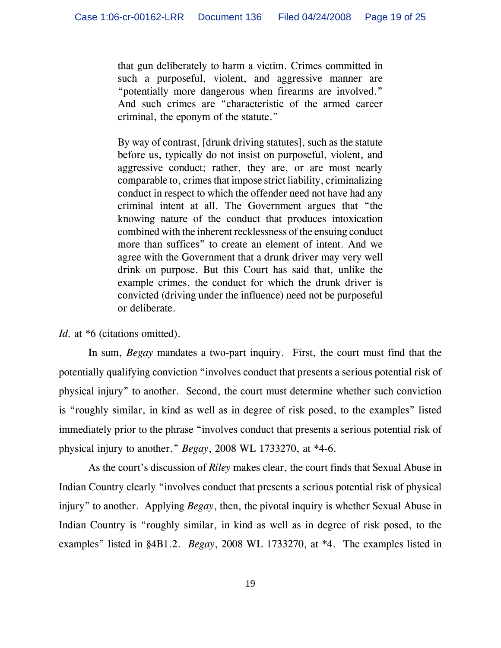that gun deliberately to harm a victim. Crimes committed in such a purposeful, violent, and aggressive manner are "potentially more dangerous when firearms are involved." And such crimes are "characteristic of the armed career criminal, the eponym of the statute."

By way of contrast, [drunk driving statutes], such as the statute before us, typically do not insist on purposeful, violent, and aggressive conduct; rather, they are, or are most nearly comparable to, crimes that impose strict liability, criminalizing conduct in respect to which the offender need not have had any criminal intent at all. The Government argues that "the knowing nature of the conduct that produces intoxication combined with the inherent recklessness of the ensuing conduct more than suffices" to create an element of intent. And we agree with the Government that a drunk driver may very well drink on purpose. But this Court has said that, unlike the example crimes, the conduct for which the drunk driver is convicted (driving under the influence) need not be purposeful or deliberate.

Id. at  $*6$  (citations omitted).

In sum, *Begay* mandates a two-part inquiry. First, the court must find that the potentially qualifying conviction "involves conduct that presents a serious potential risk of physical injury" to another. Second, the court must determine whether such conviction is "roughly similar, in kind as well as in degree of risk posed, to the examples" listed immediately prior to the phrase "involves conduct that presents a serious potential risk of physical injury to another." *Begay*, 2008 WL 1733270, at \*4-6.

As the court's discussion of *Riley* makes clear, the court finds that Sexual Abuse in Indian Country clearly "involves conduct that presents a serious potential risk of physical injury" to another. Applying *Begay*, then, the pivotal inquiry is whether Sexual Abuse in Indian Country is "roughly similar, in kind as well as in degree of risk posed, to the examples" listed in §4B1.2. *Begay*, 2008 WL 1733270, at \*4. The examples listed in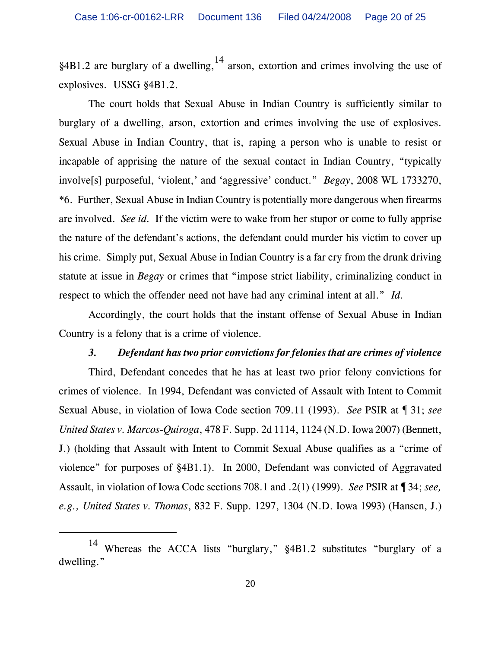§4B1.2 are burglary of a dwelling,  $^{14}$  arson, extortion and crimes involving the use of explosives. USSG §4B1.2.

The court holds that Sexual Abuse in Indian Country is sufficiently similar to burglary of a dwelling, arson, extortion and crimes involving the use of explosives. Sexual Abuse in Indian Country, that is, raping a person who is unable to resist or incapable of apprising the nature of the sexual contact in Indian Country, "typically involve[s] purposeful, 'violent,' and 'aggressive' conduct." *Begay*, 2008 WL 1733270, \*6. Further, Sexual Abuse in Indian Country is potentially more dangerous when firearms are involved. *See id.* If the victim were to wake from her stupor or come to fully apprise the nature of the defendant's actions, the defendant could murder his victim to cover up his crime. Simply put, Sexual Abuse in Indian Country is a far cry from the drunk driving statute at issue in *Begay* or crimes that "impose strict liability, criminalizing conduct in respect to which the offender need not have had any criminal intent at all." *Id.*

Accordingly, the court holds that the instant offense of Sexual Abuse in Indian Country is a felony that is a crime of violence.

#### *3. Defendant has two prior convictions for felonies that are crimes of violence*

Third, Defendant concedes that he has at least two prior felony convictions for crimes of violence. In 1994, Defendant was convicted of Assault with Intent to Commit Sexual Abuse, in violation of Iowa Code section 709.11 (1993). *See* PSIR at ¶ 31; *see United States v. Marcos-Quiroga*, 478 F. Supp. 2d 1114, 1124 (N.D. Iowa 2007) (Bennett, J.) (holding that Assault with Intent to Commit Sexual Abuse qualifies as a "crime of violence" for purposes of §4B1.1). In 2000, Defendant was convicted of Aggravated Assault, in violation of Iowa Code sections 708.1 and .2(1) (1999). *See* PSIR at ¶ 34; *see, e.g., United States v. Thomas*, 832 F. Supp. 1297, 1304 (N.D. Iowa 1993) (Hansen, J.)

<sup>14</sup> Whereas the ACCA lists "burglary," §4B1.2 substitutes "burglary of a dwelling."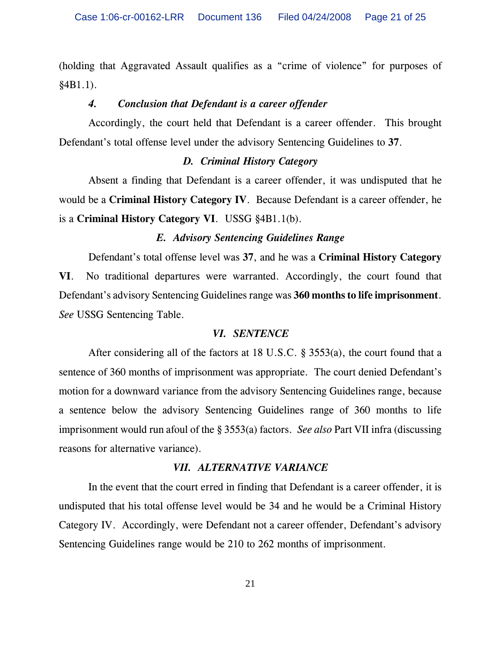(holding that Aggravated Assault qualifies as a "crime of violence" for purposes of §4B1.1).

### *4. Conclusion that Defendant is a career offender*

Accordingly, the court held that Defendant is a career offender. This brought Defendant's total offense level under the advisory Sentencing Guidelines to **37**.

### *D. Criminal History Category*

Absent a finding that Defendant is a career offender, it was undisputed that he would be a **Criminal History Category IV**. Because Defendant is a career offender, he is a **Criminal History Category VI**. USSG §4B1.1(b).

### *E. Advisory Sentencing Guidelines Range*

Defendant's total offense level was **37**, and he was a **Criminal History Category VI**. No traditional departures were warranted. Accordingly, the court found that Defendant's advisory Sentencing Guidelines range was **360 months to life imprisonment**. *See* USSG Sentencing Table.

#### *VI. SENTENCE*

After considering all of the factors at 18 U.S.C. § 3553(a), the court found that a sentence of 360 months of imprisonment was appropriate. The court denied Defendant's motion for a downward variance from the advisory Sentencing Guidelines range, because a sentence below the advisory Sentencing Guidelines range of 360 months to life imprisonment would run afoul of the § 3553(a) factors. *See also* Part VII infra (discussing reasons for alternative variance).

#### *VII. ALTERNATIVE VARIANCE*

In the event that the court erred in finding that Defendant is a career offender, it is undisputed that his total offense level would be 34 and he would be a Criminal History Category IV. Accordingly, were Defendant not a career offender, Defendant's advisory Sentencing Guidelines range would be 210 to 262 months of imprisonment.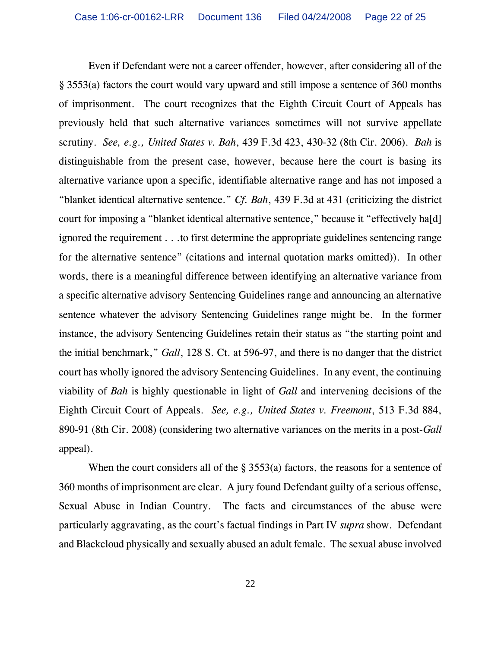Even if Defendant were not a career offender, however, after considering all of the § 3553(a) factors the court would vary upward and still impose a sentence of 360 months of imprisonment. The court recognizes that the Eighth Circuit Court of Appeals has previously held that such alternative variances sometimes will not survive appellate scrutiny. *See, e.g., United States v. Bah*, 439 F.3d 423, 430-32 (8th Cir. 2006). *Bah* is distinguishable from the present case, however, because here the court is basing its alternative variance upon a specific, identifiable alternative range and has not imposed a "blanket identical alternative sentence." *Cf. Bah*, 439 F.3d at 431 (criticizing the district court for imposing a "blanket identical alternative sentence," because it "effectively ha[d] ignored the requirement . . .to first determine the appropriate guidelines sentencing range for the alternative sentence" (citations and internal quotation marks omitted)). In other words, there is a meaningful difference between identifying an alternative variance from a specific alternative advisory Sentencing Guidelines range and announcing an alternative sentence whatever the advisory Sentencing Guidelines range might be. In the former instance, the advisory Sentencing Guidelines retain their status as "the starting point and the initial benchmark," *Gall*, 128 S. Ct. at 596-97, and there is no danger that the district court has wholly ignored the advisory Sentencing Guidelines. In any event, the continuing viability of *Bah* is highly questionable in light of *Gall* and intervening decisions of the Eighth Circuit Court of Appeals. *See, e.g., United States v. Freemont*, 513 F.3d 884, 890-91 (8th Cir. 2008) (considering two alternative variances on the merits in a post-*Gall* appeal).

When the court considers all of the § 3553(a) factors, the reasons for a sentence of 360 months of imprisonment are clear. A jury found Defendant guilty of a serious offense, Sexual Abuse in Indian Country. The facts and circumstances of the abuse were particularly aggravating, as the court's factual findings in Part IV *supra* show. Defendant and Blackcloud physically and sexually abused an adult female. The sexual abuse involved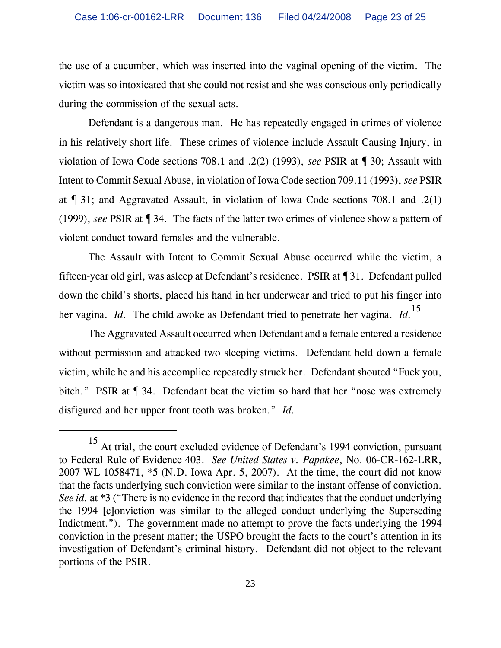the use of a cucumber, which was inserted into the vaginal opening of the victim. The victim was so intoxicated that she could not resist and she was conscious only periodically during the commission of the sexual acts.

Defendant is a dangerous man. He has repeatedly engaged in crimes of violence in his relatively short life. These crimes of violence include Assault Causing Injury, in violation of Iowa Code sections 708.1 and .2(2) (1993), *see* PSIR at ¶ 30; Assault with Intent to Commit Sexual Abuse, in violation of Iowa Code section 709.11 (1993), *see* PSIR at ¶ 31; and Aggravated Assault, in violation of Iowa Code sections 708.1 and .2(1) (1999), *see* PSIR at ¶ 34. The facts of the latter two crimes of violence show a pattern of violent conduct toward females and the vulnerable.

The Assault with Intent to Commit Sexual Abuse occurred while the victim, a fifteen-year old girl, was asleep at Defendant's residence. PSIR at ¶ 31. Defendant pulled down the child's shorts, placed his hand in her underwear and tried to put his finger into her vagina. *Id.* The child awoke as Defendant tried to penetrate her vagina. *Id.*<sup>15</sup>

The Aggravated Assault occurred when Defendant and a female entered a residence without permission and attacked two sleeping victims. Defendant held down a female victim, while he and his accomplice repeatedly struck her. Defendant shouted "Fuck you, bitch." PSIR at  $\P$  34. Defendant beat the victim so hard that her "nose was extremely disfigured and her upper front tooth was broken." *Id.*

<sup>15</sup> At trial, the court excluded evidence of Defendant's 1994 conviction, pursuant to Federal Rule of Evidence 403. *See United States v. Papakee*, No. 06-CR-162-LRR, 2007 WL 1058471, \*5 (N.D. Iowa Apr. 5, 2007). At the time, the court did not know that the facts underlying such conviction were similar to the instant offense of conviction. *See id.* at \*3 ("There is no evidence in the record that indicates that the conduct underlying the 1994 [c]onviction was similar to the alleged conduct underlying the Superseding Indictment."). The government made no attempt to prove the facts underlying the 1994 conviction in the present matter; the USPO brought the facts to the court's attention in its investigation of Defendant's criminal history. Defendant did not object to the relevant portions of the PSIR.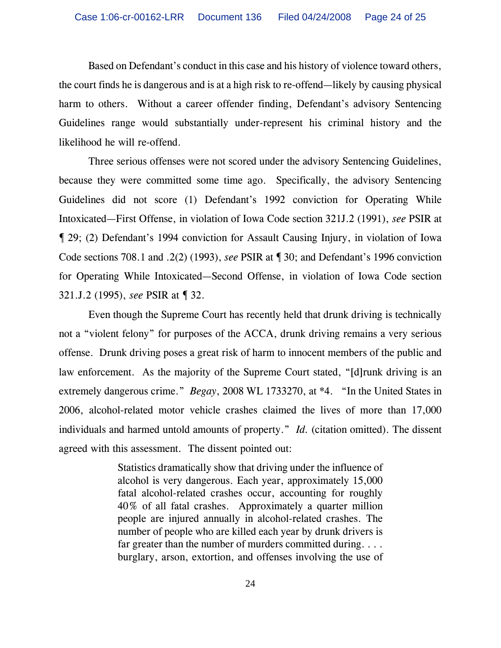Based on Defendant's conduct in this case and his history of violence toward others, the court finds he is dangerous and is at a high risk to re-offend—likely by causing physical harm to others. Without a career offender finding, Defendant's advisory Sentencing Guidelines range would substantially under-represent his criminal history and the likelihood he will re-offend.

Three serious offenses were not scored under the advisory Sentencing Guidelines, because they were committed some time ago. Specifically, the advisory Sentencing Guidelines did not score (1) Defendant's 1992 conviction for Operating While Intoxicated—First Offense, in violation of Iowa Code section 321J.2 (1991), *see* PSIR at ¶ 29; (2) Defendant's 1994 conviction for Assault Causing Injury, in violation of Iowa Code sections 708.1 and .2(2) (1993), *see* PSIR at ¶ 30; and Defendant's 1996 conviction for Operating While Intoxicated—Second Offense, in violation of Iowa Code section 321.J.2 (1995), *see* PSIR at ¶ 32.

Even though the Supreme Court has recently held that drunk driving is technically not a "violent felony" for purposes of the ACCA, drunk driving remains a very serious offense. Drunk driving poses a great risk of harm to innocent members of the public and law enforcement. As the majority of the Supreme Court stated, "[d]runk driving is an extremely dangerous crime." *Begay*, 2008 WL 1733270, at \*4. "In the United States in 2006, alcohol-related motor vehicle crashes claimed the lives of more than 17,000 individuals and harmed untold amounts of property." *Id.* (citation omitted). The dissent agreed with this assessment. The dissent pointed out:

> Statistics dramatically show that driving under the influence of alcohol is very dangerous. Each year, approximately 15,000 fatal alcohol-related crashes occur, accounting for roughly 40% of all fatal crashes. Approximately a quarter million people are injured annually in alcohol-related crashes. The number of people who are killed each year by drunk drivers is far greater than the number of murders committed during. . . . burglary, arson, extortion, and offenses involving the use of